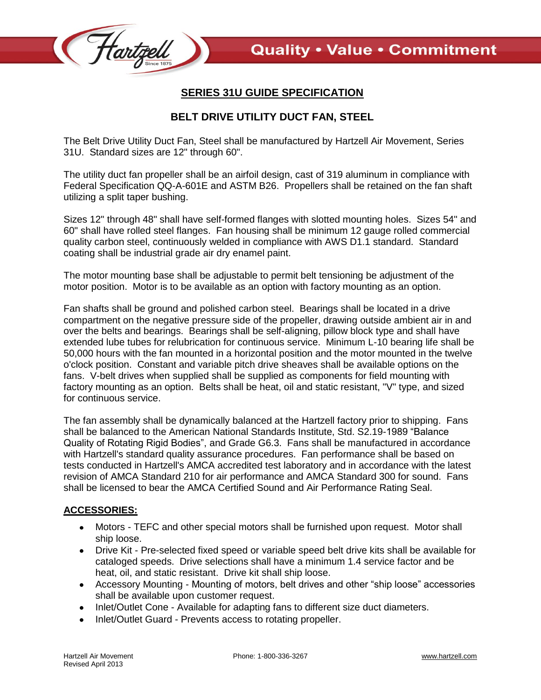

## **SERIES 31U GUIDE SPECIFICATION**

## **BELT DRIVE UTILITY DUCT FAN, STEEL**

The Belt Drive Utility Duct Fan, Steel shall be manufactured by Hartzell Air Movement, Series 31U. Standard sizes are 12" through 60".

The utility duct fan propeller shall be an airfoil design, cast of 319 aluminum in compliance with Federal Specification QQ-A-601E and ASTM B26. Propellers shall be retained on the fan shaft utilizing a split taper bushing.

Sizes 12" through 48" shall have self-formed flanges with slotted mounting holes. Sizes 54" and 60" shall have rolled steel flanges. Fan housing shall be minimum 12 gauge rolled commercial quality carbon steel, continuously welded in compliance with AWS D1.1 standard. Standard coating shall be industrial grade air dry enamel paint.

The motor mounting base shall be adjustable to permit belt tensioning be adjustment of the motor position. Motor is to be available as an option with factory mounting as an option.

Fan shafts shall be ground and polished carbon steel. Bearings shall be located in a drive compartment on the negative pressure side of the propeller, drawing outside ambient air in and over the belts and bearings. Bearings shall be self-aligning, pillow block type and shall have extended lube tubes for relubrication for continuous service. Minimum L-10 bearing life shall be 50,000 hours with the fan mounted in a horizontal position and the motor mounted in the twelve o'clock position. Constant and variable pitch drive sheaves shall be available options on the fans. V-belt drives when supplied shall be supplied as components for field mounting with factory mounting as an option. Belts shall be heat, oil and static resistant, "V" type, and sized for continuous service.

The fan assembly shall be dynamically balanced at the Hartzell factory prior to shipping. Fans shall be balanced to the American National Standards Institute, Std. S2.19-1989 "Balance Quality of Rotating Rigid Bodies", and Grade G6.3. Fans shall be manufactured in accordance with Hartzell's standard quality assurance procedures. Fan performance shall be based on tests conducted in Hartzell's AMCA accredited test laboratory and in accordance with the latest revision of AMCA Standard 210 for air performance and AMCA Standard 300 for sound. Fans shall be licensed to bear the AMCA Certified Sound and Air Performance Rating Seal.

## **ACCESSORIES:**

- Motors TEFC and other special motors shall be furnished upon request. Motor shall  $\bullet$ ship loose.
- Drive Kit Pre-selected fixed speed or variable speed belt drive kits shall be available for cataloged speeds. Drive selections shall have a minimum 1.4 service factor and be heat, oil, and static resistant. Drive kit shall ship loose.
- Accessory Mounting Mounting of motors, belt drives and other "ship loose" accessories shall be available upon customer request.
- Inlet/Outlet Cone Available for adapting fans to different size duct diameters.
- Inlet/Outlet Guard Prevents access to rotating propeller. $\bullet$